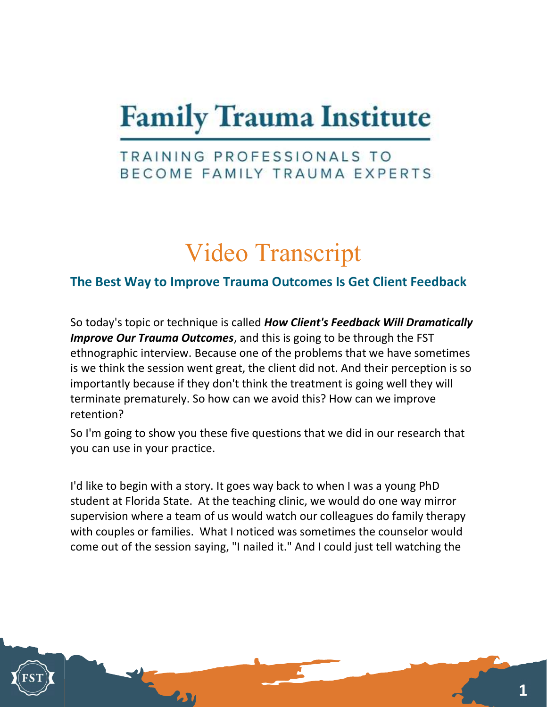## **Family Trauma Institute**

## TRAINING PROFESSIONALS TO BECOME FAMILY TRAUMA EXPERTS

## Video Transcript

## The Best Way to Improve Trauma Outcomes Is Get Client Feedback

So today's topic or technique is called **How Client's Feedback Will Dramatically Improve Our Trauma Outcomes**, and this is going to be through the FST ethnographic interview. Because one of the problems that we have sometimes is we think the session went great, the client did not. And their perception is so importantly because if they don't think the treatment is going well they will terminate prematurely. So how can we avoid this? How can we improve retention?

So I'm going to show you these five questions that we did in our research that you can use in your practice.

I'd like to begin with a story. It goes way back to when I was a young PhD student at Florida State. At the teaching clinic, we would do one way mirror supervision where a team of us would watch our colleagues do family therapy with couples or families. What I noticed was sometimes the counselor would come out of the session saying, "I nailed it." And I could just tell watching the

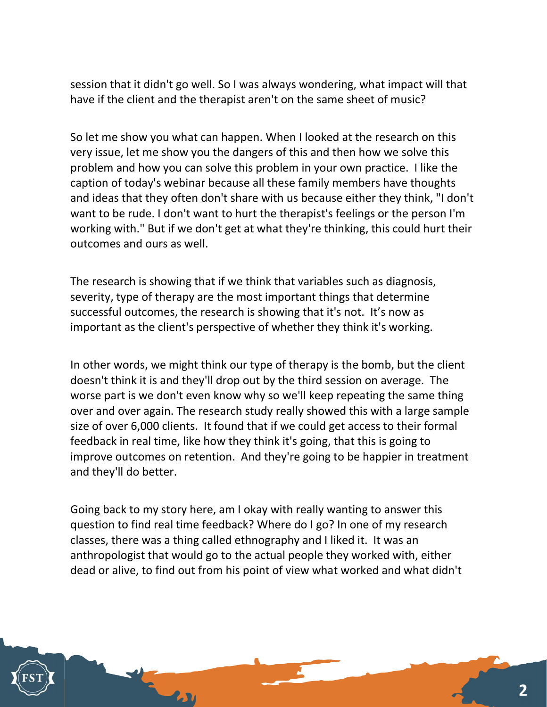session that it didn't go well. So I was always wondering, what impact will that have if the client and the therapist aren't on the same sheet of music?

So let me show you what can happen. When I looked at the research on this very issue, let me show you the dangers of this and then how we solve this problem and how you can solve this problem in your own practice. I like the caption of today's webinar because all these family members have thoughts and ideas that they often don't share with us because either they think, "I don't want to be rude. I don't want to hurt the therapist's feelings or the person I'm working with." But if we don't get at what they're thinking, this could hurt their outcomes and ours as well.

The research is showing that if we think that variables such as diagnosis, severity, type of therapy are the most important things that determine successful outcomes, the research is showing that it's not. It's now as important as the client's perspective of whether they think it's working.

In other words, we might think our type of therapy is the bomb, but the client doesn't think it is and they'll drop out by the third session on average. The worse part is we don't even know why so we'll keep repeating the same thing over and over again. The research study really showed this with a large sample size of over 6,000 clients. It found that if we could get access to their formal feedback in real time, like how they think it's going, that this is going to improve outcomes on retention. And they're going to be happier in treatment and they'll do better.

Going back to my story here, am I okay with really wanting to answer this question to find real time feedback? Where do I go? In one of my research classes, there was a thing called ethnography and I liked it. It was an anthropologist that would go to the actual people they worked with, either dead or alive, to find out from his point of view what worked and what didn't

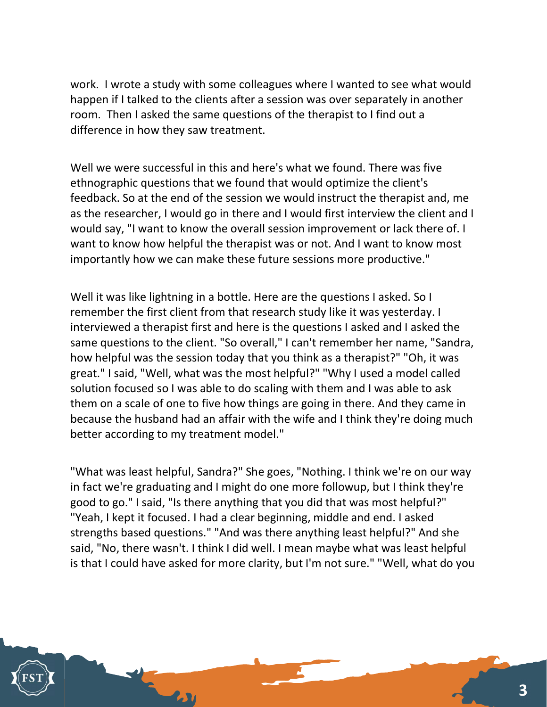work. I wrote a study with some colleagues where I wanted to see what would happen if I talked to the clients after a session was over separately in another room. Then I asked the same questions of the therapist to I find out a difference in how they saw treatment.

Well we were successful in this and here's what we found. There was five ethnographic questions that we found that would optimize the client's feedback. So at the end of the session we would instruct the therapist and, me as the researcher, I would go in there and I would first interview the client and I would say, "I want to know the overall session improvement or lack there of. I want to know how helpful the therapist was or not. And I want to know most importantly how we can make these future sessions more productive."

Well it was like lightning in a bottle. Here are the questions I asked. So I remember the first client from that research study like it was yesterday. I interviewed a therapist first and here is the questions I asked and I asked the same questions to the client. "So overall," I can't remember her name, "Sandra, how helpful was the session today that you think as a therapist?" "Oh, it was great." I said, "Well, what was the most helpful?" "Why I used a model called solution focused so I was able to do scaling with them and I was able to ask them on a scale of one to five how things are going in there. And they came in because the husband had an affair with the wife and I think they're doing much better according to my treatment model."

"What was least helpful, Sandra?" She goes, "Nothing. I think we're on our way in fact we're graduating and I might do one more followup, but I think they're good to go." I said, "Is there anything that you did that was most helpful?" "Yeah, I kept it focused. I had a clear beginning, middle and end. I asked strengths based questions." "And was there anything least helpful?" And she said, "No, there wasn't. I think I did well. I mean maybe what was least helpful is that I could have asked for more clarity, but I'm not sure." "Well, what do you

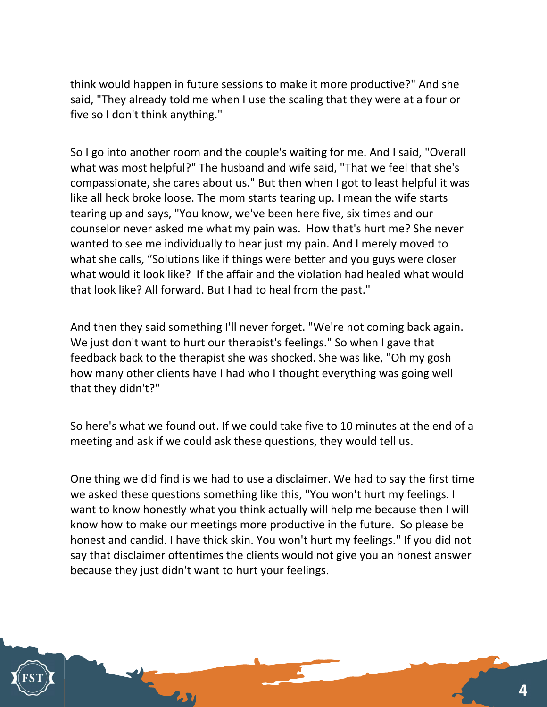think would happen in future sessions to make it more productive?" And she said, "They already told me when I use the scaling that they were at a four or five so I don't think anything."

So I go into another room and the couple's waiting for me. And I said, "Overall what was most helpful?" The husband and wife said, "That we feel that she's compassionate, she cares about us." But then when I got to least helpful it was like all heck broke loose. The mom starts tearing up. I mean the wife starts tearing up and says, "You know, we've been here five, six times and our counselor never asked me what my pain was. How that's hurt me? She never wanted to see me individually to hear just my pain. And I merely moved to what she calls, "Solutions like if things were better and you guys were closer what would it look like? If the affair and the violation had healed what would that look like? All forward. But I had to heal from the past."

And then they said something I'll never forget. "We're not coming back again. We just don't want to hurt our therapist's feelings." So when I gave that feedback back to the therapist she was shocked. She was like, "Oh my gosh how many other clients have I had who I thought everything was going well that they didn't?"

So here's what we found out. If we could take five to 10 minutes at the end of a meeting and ask if we could ask these questions, they would tell us.

One thing we did find is we had to use a disclaimer. We had to say the first time we asked these questions something like this, "You won't hurt my feelings. I want to know honestly what you think actually will help me because then I will know how to make our meetings more productive in the future. So please be honest and candid. I have thick skin. You won't hurt my feelings." If you did not say that disclaimer oftentimes the clients would not give you an honest answer because they just didn't want to hurt your feelings.